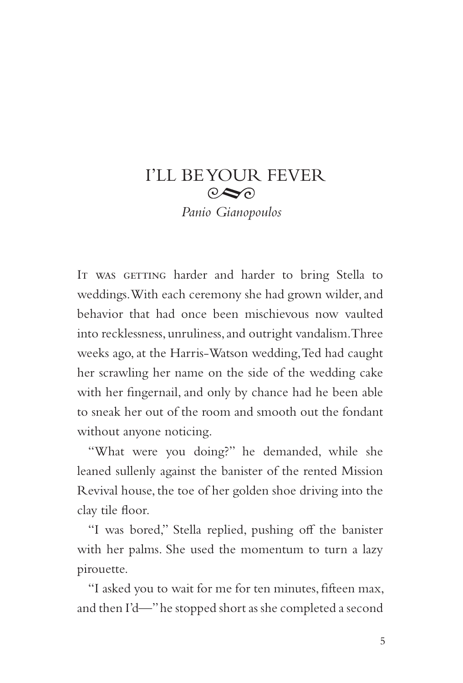## I'LL BE YOUR FEVER  $\odot \odot$ *Panio Gianopoulos*

IT WAS GETTING harder and harder to bring Stella to weddings. With each ceremony she had grown wilder, and behavior that had once been mischievous now vaulted into recklessness, unruliness, and outright vandalism. Three weeks ago, at the Harris-Watson wedding, Ted had caught her scrawling her name on the side of the wedding cake with her fingernail, and only by chance had he been able to sneak her out of the room and smooth out the fondant without anyone noticing.

"What were you doing?" he demanded, while she leaned sullenly against the banister of the rented Mission Revival house, the toe of her golden shoe driving into the clay tile floor.

"I was bored," Stella replied, pushing off the banister with her palms. She used the momentum to turn a lazy pirouette.

"I asked you to wait for me for ten minutes, fifteen max, and then I'd—" he stopped short as she completed a second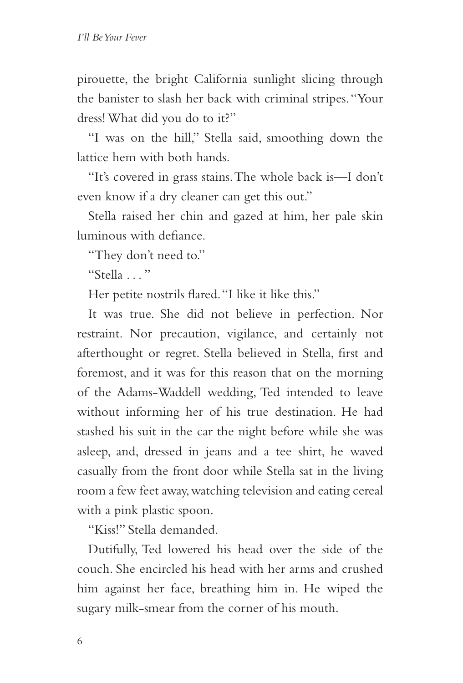pirouette, the bright California sunlight slicing through the banister to slash her back with criminal stripes. "Your dress! What did you do to it?"

"I was on the hill," Stella said, smoothing down the lattice hem with both hands.

"It's covered in grass stains. The whole back is—I don't even know if a dry cleaner can get this out."

Stella raised her chin and gazed at him, her pale skin luminous with defiance.

"They don't need to."

"Stella . . . "

Her petite nostrils flared. "I like it like this."

It was true. She did not believe in perfection. Nor restraint. Nor precaution, vigilance, and certainly not afterthought or regret. Stella believed in Stella, first and foremost, and it was for this reason that on the morning of the Adams-Waddell wedding, Ted intended to leave without informing her of his true destination. He had stashed his suit in the car the night before while she was asleep, and, dressed in jeans and a tee shirt, he waved casually from the front door while Stella sat in the living room a few feet away, watching television and eating cereal with a pink plastic spoon.

"Kiss!" Stella demanded.

Dutifully, Ted lowered his head over the side of the couch. She encircled his head with her arms and crushed him against her face, breathing him in. He wiped the sugary milk-smear from the corner of his mouth.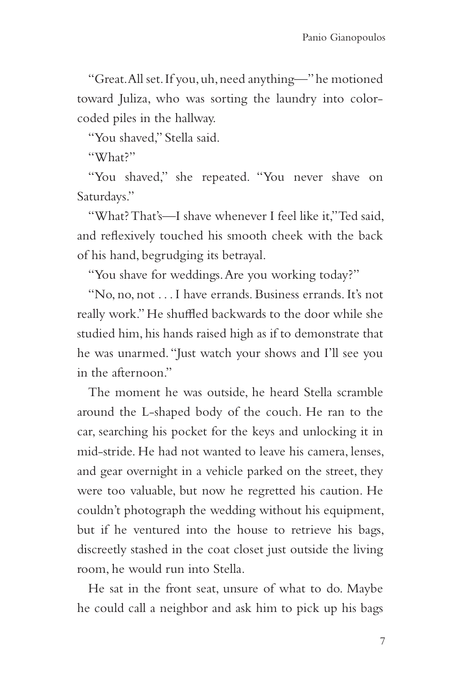"Great. All set. If you, uh, need anything—" he motioned toward Juliza, who was sorting the laundry into colorcoded piles in the hallway.

"You shaved," Stella said.

"What?"

"You shaved," she repeated. "You never shave on Saturdays."

"What? That's—I shave whenever I feel like it," Ted said, and reflexively touched his smooth cheek with the back of his hand, begrudging its betrayal.

"You shave for weddings. Are you working today?"

"No, no, not . . . I have errands. Business errands. It's not really work." He shuffled backwards to the door while she studied him, his hands raised high as if to demonstrate that he was unarmed. "Just watch your shows and I'll see you in the afternoon."

The moment he was outside, he heard Stella scramble around the L-shaped body of the couch. He ran to the car, searching his pocket for the keys and unlocking it in mid-stride. He had not wanted to leave his camera, lenses, and gear overnight in a vehicle parked on the street, they were too valuable, but now he regretted his caution. He couldn't photograph the wedding without his equipment, but if he ventured into the house to retrieve his bags, discreetly stashed in the coat closet just outside the living room, he would run into Stella.

He sat in the front seat, unsure of what to do. Maybe he could call a neighbor and ask him to pick up his bags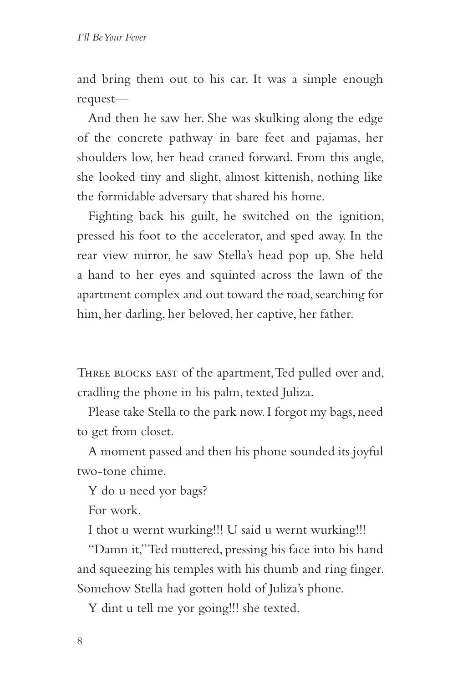and bring them out to his car. It was a simple enough request—

And then he saw her. She was skulking along the edge of the concrete pathway in bare feet and pajamas, her shoulders low, her head craned forward. From this angle, she looked tiny and slight, almost kittenish, nothing like the formidable adversary that shared his home.

Fighting back his guilt, he switched on the ignition, pressed his foot to the accelerator, and sped away. In the rear view mirror, he saw Stella's head pop up. She held a hand to her eyes and squinted across the lawn of the apartment complex and out toward the road, searching for him, her darling, her beloved, her captive, her father.

Three blocks east of the apartment, Ted pulled over and, cradling the phone in his palm, texted Juliza.

Please take Stella to the park now. I forgot my bags, need to get from closet.

A moment passed and then his phone sounded its joyful two-tone chime.

Y do u need yor bags?

For work.

I thot u wernt wurking!!! U said u wernt wurking!!!

"Damn it," Ted muttered, pressing his face into his hand and squeezing his temples with his thumb and ring finger. Somehow Stella had gotten hold of Juliza's phone.

Y dint u tell me yor going!!! she texted.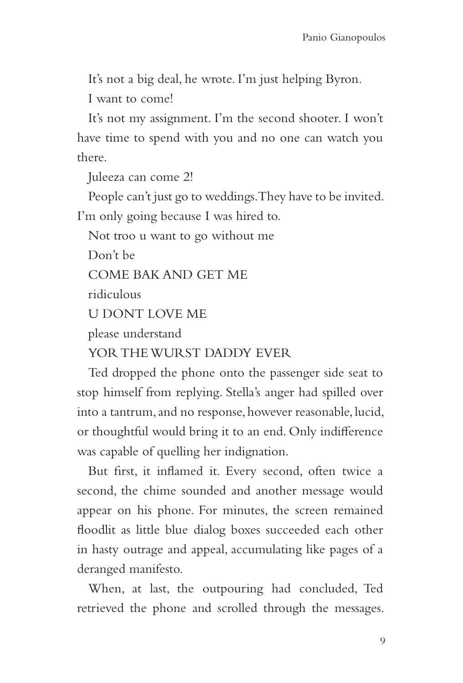It's not a big deal, he wrote. I'm just helping Byron.

I want to come!

It's not my assignment. I'm the second shooter. I won't have time to spend with you and no one can watch you there.

Juleeza can come 2!

People can't just go to weddings. They have to be invited. I'm only going because I was hired to.

Not troo u want to go without me

Don't be

COME BAK AND GET ME

ridiculous

U DONT LOVE ME

please understand

YOR THE WURST DADDY EVER

Ted dropped the phone onto the passenger side seat to stop himself from replying. Stella's anger had spilled over into a tantrum, and no response, however reasonable, lucid, or thoughtful would bring it to an end. Only indifference was capable of quelling her indignation.

But first, it inflamed it. Every second, often twice a second, the chime sounded and another message would appear on his phone. For minutes, the screen remained floodlit as little blue dialog boxes succeeded each other in hasty outrage and appeal, accumulating like pages of a deranged manifesto.

When, at last, the outpouring had concluded, Ted retrieved the phone and scrolled through the messages.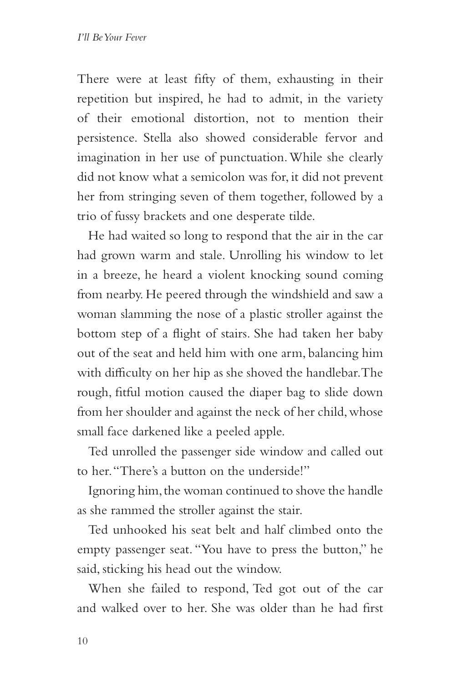There were at least fifty of them, exhausting in their repetition but inspired, he had to admit, in the variety of their emotional distortion, not to mention their persistence. Stella also showed considerable fervor and imagination in her use of punctuation. While she clearly did not know what a semicolon was for, it did not prevent her from stringing seven of them together, followed by a trio of fussy brackets and one desperate tilde.

He had waited so long to respond that the air in the car had grown warm and stale. Unrolling his window to let in a breeze, he heard a violent knocking sound coming from nearby. He peered through the windshield and saw a woman slamming the nose of a plastic stroller against the bottom step of a flight of stairs. She had taken her baby out of the seat and held him with one arm, balancing him with difficulty on her hip as she shoved the handlebar. The rough, fitful motion caused the diaper bag to slide down from her shoulder and against the neck of her child, whose small face darkened like a peeled apple.

Ted unrolled the passenger side window and called out to her. "There's a button on the underside!"

Ignoring him, the woman continued to shove the handle as she rammed the stroller against the stair.

Ted unhooked his seat belt and half climbed onto the empty passenger seat. "You have to press the button," he said, sticking his head out the window.

When she failed to respond, Ted got out of the car and walked over to her. She was older than he had first

10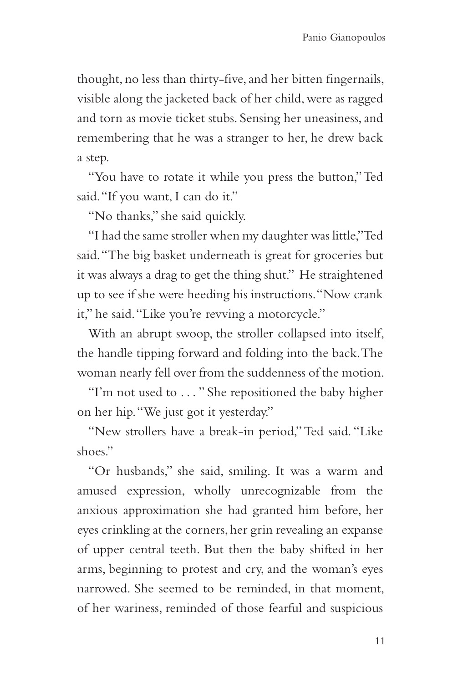thought, no less than thirty-five, and her bitten fingernails, visible along the jacketed back of her child, were as ragged and torn as movie ticket stubs. Sensing her uneasiness, and remembering that he was a stranger to her, he drew back a step.

"You have to rotate it while you press the button," Ted said. "If you want, I can do it."

"No thanks," she said quickly.

"I had the same stroller when my daughter was little," Ted said. "The big basket underneath is great for groceries but it was always a drag to get the thing shut." He straightened up to see if she were heeding his instructions. "Now crank it," he said. "Like you're revving a motorcycle."

With an abrupt swoop, the stroller collapsed into itself, the handle tipping forward and folding into the back. The woman nearly fell over from the suddenness of the motion.

"I'm not used to . . . " She repositioned the baby higher on her hip. "We just got it yesterday."

"New strollers have a break-in period," Ted said. "Like shoes."

"Or husbands," she said, smiling. It was a warm and amused expression, wholly unrecognizable from the anxious approximation she had granted him before, her eyes crinkling at the corners, her grin revealing an expanse of upper central teeth. But then the baby shifted in her arms, beginning to protest and cry, and the woman's eyes narrowed. She seemed to be reminded, in that moment, of her wariness, reminded of those fearful and suspicious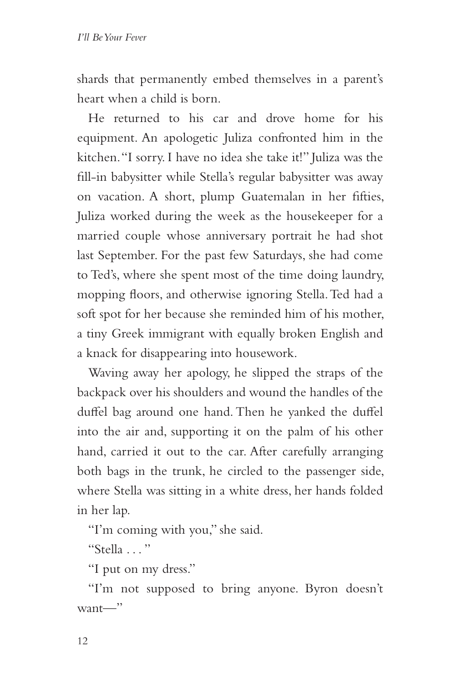shards that permanently embed themselves in a parent's heart when a child is born.

He returned to his car and drove home for his equipment. An apologetic Juliza confronted him in the kitchen. "I sorry. I have no idea she take it!" Juliza was the fill-in babysitter while Stella's regular babysitter was away on vacation. A short, plump Guatemalan in her fifties, Juliza worked during the week as the housekeeper for a married couple whose anniversary portrait he had shot last September. For the past few Saturdays, she had come to Ted's, where she spent most of the time doing laundry, mopping floors, and otherwise ignoring Stella. Ted had a soft spot for her because she reminded him of his mother, a tiny Greek immigrant with equally broken English and a knack for disappearing into housework.

Waving away her apology, he slipped the straps of the backpack over his shoulders and wound the handles of the duffel bag around one hand. Then he yanked the duffel into the air and, supporting it on the palm of his other hand, carried it out to the car. After carefully arranging both bags in the trunk, he circled to the passenger side, where Stella was sitting in a white dress, her hands folded in her lap.

"I'm coming with you," she said.

"Stella  $\ldots$ "

"I put on my dress."

"I'm not supposed to bring anyone. Byron doesn't  $want$ —"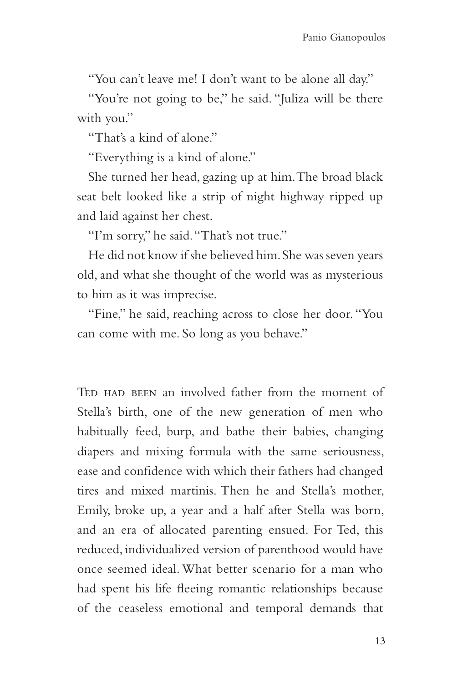"You can't leave me! I don't want to be alone all day."

"You're not going to be," he said. "Juliza will be there with you."

"That's a kind of alone."

"Everything is a kind of alone."

She turned her head, gazing up at him. The broad black seat belt looked like a strip of night highway ripped up and laid against her chest.

"I'm sorry," he said. "That's not true."

He did not know if she believed him. She was seven years old, and what she thought of the world was as mysterious to him as it was imprecise.

"Fine," he said, reaching across to close her door. "You can come with me. So long as you behave."

TED HAD BEEN an involved father from the moment of Stella's birth, one of the new generation of men who habitually feed, burp, and bathe their babies, changing diapers and mixing formula with the same seriousness, ease and confidence with which their fathers had changed tires and mixed martinis. Then he and Stella's mother, Emily, broke up, a year and a half after Stella was born, and an era of allocated parenting ensued. For Ted, this reduced, individualized version of parenthood would have once seemed ideal. What better scenario for a man who had spent his life fleeing romantic relationships because of the ceaseless emotional and temporal demands that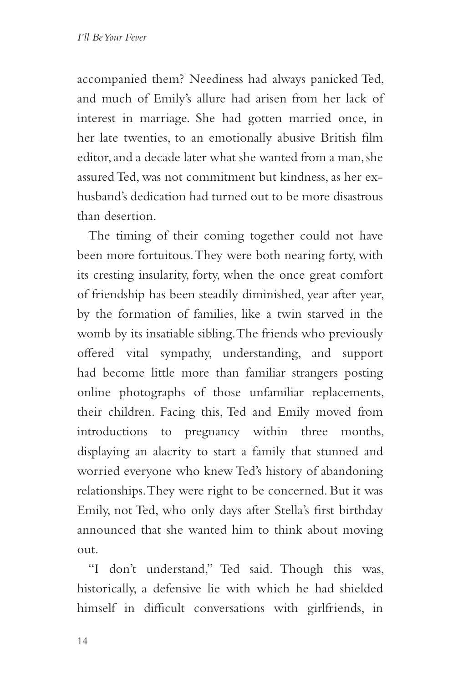accompanied them? Neediness had always panicked Ted, and much of Emily's allure had arisen from her lack of interest in marriage. She had gotten married once, in her late twenties, to an emotionally abusive British film editor, and a decade later what she wanted from a man, she assured Ted, was not commitment but kindness, as her exhusband's dedication had turned out to be more disastrous than desertion.

The timing of their coming together could not have been more fortuitous. They were both nearing forty, with its cresting insularity, forty, when the once great comfort of friendship has been steadily diminished, year after year, by the formation of families, like a twin starved in the womb by its insatiable sibling. The friends who previously offered vital sympathy, understanding, and support had become little more than familiar strangers posting online photographs of those unfamiliar replacements, their children. Facing this, Ted and Emily moved from introductions to pregnancy within three months, displaying an alacrity to start a family that stunned and worried everyone who knew Ted's history of abandoning relationships. They were right to be concerned. But it was Emily, not Ted, who only days after Stella's first birthday announced that she wanted him to think about moving out.

"I don't understand," Ted said. Though this was, historically, a defensive lie with which he had shielded himself in difficult conversations with girlfriends, in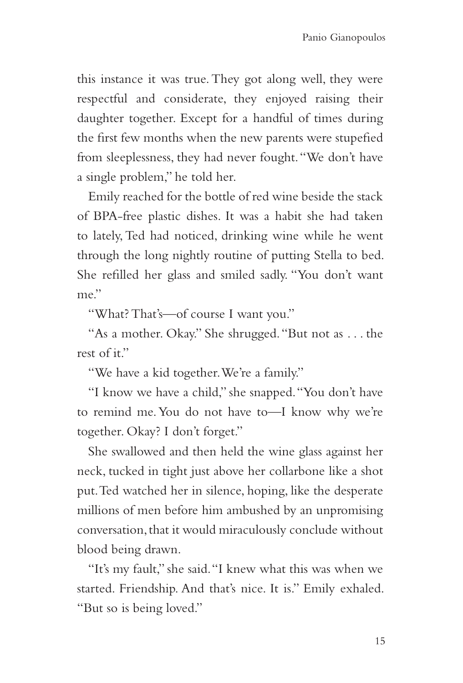this instance it was true. They got along well, they were respectful and considerate, they enjoyed raising their daughter together. Except for a handful of times during the first few months when the new parents were stupefied from sleeplessness, they had never fought. "We don't have a single problem," he told her.

Emily reached for the bottle of red wine beside the stack of BPA-free plastic dishes. It was a habit she had taken to lately, Ted had noticed, drinking wine while he went through the long nightly routine of putting Stella to bed. She refilled her glass and smiled sadly. "You don't want  $me$ "

"What? That's—of course I want you."

"As a mother. Okay." She shrugged. "But not as . . . the rest of it."

"We have a kid together. We're a family."

"I know we have a child," she snapped. "You don't have to remind me. You do not have to—I know why we're together. Okay? I don't forget."

She swallowed and then held the wine glass against her neck, tucked in tight just above her collarbone like a shot put. Ted watched her in silence, hoping, like the desperate millions of men before him ambushed by an unpromising conversation, that it would miraculously conclude without blood being drawn.

"It's my fault," she said. "I knew what this was when we started. Friendship. And that's nice. It is." Emily exhaled. "But so is being loved."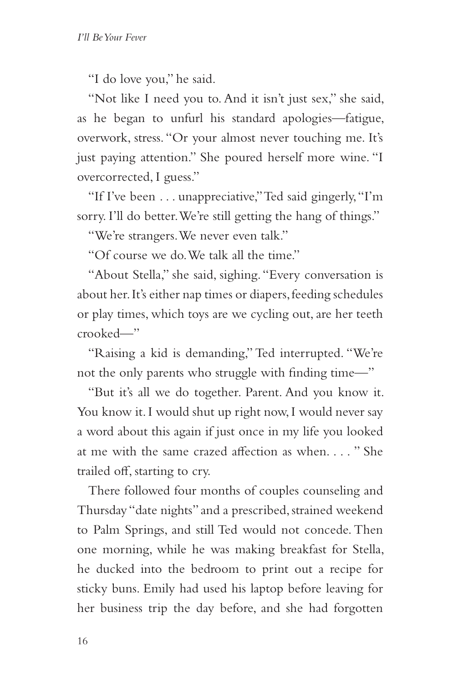"I do love you," he said.

"Not like I need you to. And it isn't just sex," she said, as he began to unfurl his standard apologies—fatigue, overwork, stress. "Or your almost never touching me. It's just paying attention." She poured herself more wine. "I overcorrected, I guess."

"If I've been . . . unappreciative," Ted said gingerly, "I'm sorry. I'll do better. We're still getting the hang of things."

"We're strangers. We never even talk."

"Of course we do. We talk all the time."

"About Stella," she said, sighing. "Every conversation is about her. It's either nap times or diapers, feeding schedules or play times, which toys are we cycling out, are her teeth crooked—"

"Raising a kid is demanding," Ted interrupted. "We're not the only parents who struggle with finding time—"

"But it's all we do together. Parent. And you know it. You know it. I would shut up right now, I would never say a word about this again if just once in my life you looked at me with the same crazed affection as when. . . . " She trailed off, starting to cry.

There followed four months of couples counseling and Thursday "date nights" and a prescribed, strained weekend to Palm Springs, and still Ted would not concede. Then one morning, while he was making breakfast for Stella, he ducked into the bedroom to print out a recipe for sticky buns. Emily had used his laptop before leaving for her business trip the day before, and she had forgotten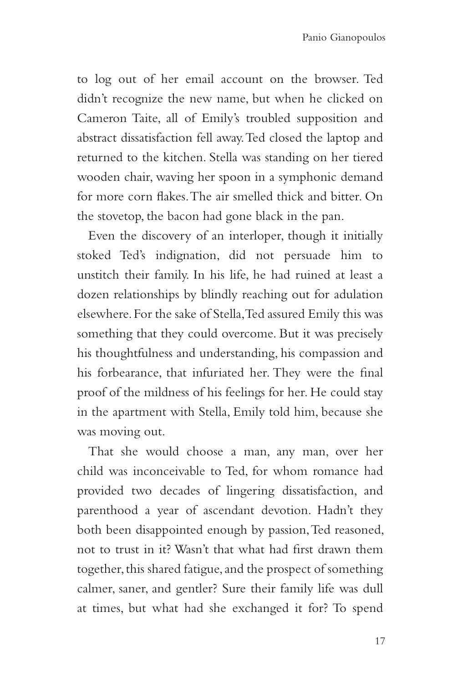to log out of her email account on the browser. Ted didn't recognize the new name, but when he clicked on Cameron Taite, all of Emily's troubled supposition and abstract dissatisfaction fell away. Ted closed the laptop and returned to the kitchen. Stella was standing on her tiered wooden chair, waving her spoon in a symphonic demand for more corn flakes. The air smelled thick and bitter. On the stovetop, the bacon had gone black in the pan.

Even the discovery of an interloper, though it initially stoked Ted's indignation, did not persuade him to unstitch their family. In his life, he had ruined at least a dozen relationships by blindly reaching out for adulation elsewhere. For the sake of Stella, Ted assured Emily this was something that they could overcome. But it was precisely his thoughtfulness and understanding, his compassion and his forbearance, that infuriated her. They were the final proof of the mildness of his feelings for her. He could stay in the apartment with Stella, Emily told him, because she was moving out.

That she would choose a man, any man, over her child was inconceivable to Ted, for whom romance had provided two decades of lingering dissatisfaction, and parenthood a year of ascendant devotion. Hadn't they both been disappointed enough by passion, Ted reasoned, not to trust in it? Wasn't that what had first drawn them together, this shared fatigue, and the prospect of something calmer, saner, and gentler? Sure their family life was dull at times, but what had she exchanged it for? To spend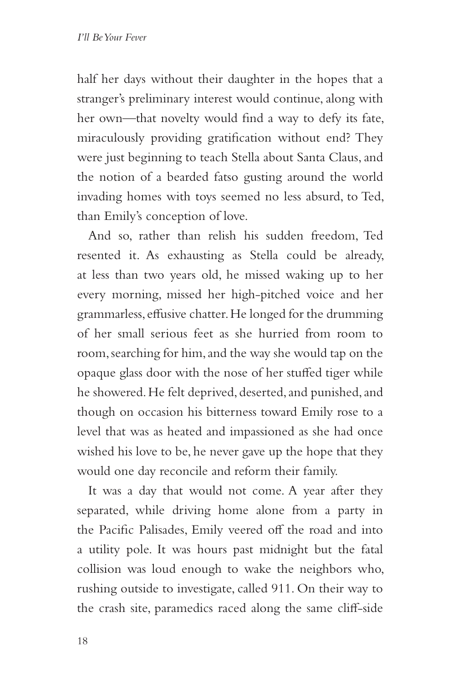half her days without their daughter in the hopes that a stranger's preliminary interest would continue, along with her own—that novelty would find a way to defy its fate, miraculously providing gratification without end? They were just beginning to teach Stella about Santa Claus, and the notion of a bearded fatso gusting around the world invading homes with toys seemed no less absurd, to Ted, than Emily's conception of love.

And so, rather than relish his sudden freedom, Ted resented it. As exhausting as Stella could be already, at less than two years old, he missed waking up to her every morning, missed her high-pitched voice and her grammarless, effusive chatter. He longed for the drumming of her small serious feet as she hurried from room to room, searching for him, and the way she would tap on the opaque glass door with the nose of her stuffed tiger while he showered. He felt deprived, deserted, and punished, and though on occasion his bitterness toward Emily rose to a level that was as heated and impassioned as she had once wished his love to be, he never gave up the hope that they would one day reconcile and reform their family.

It was a day that would not come. A year after they separated, while driving home alone from a party in the Pacific Palisades, Emily veered off the road and into a utility pole. It was hours past midnight but the fatal collision was loud enough to wake the neighbors who, rushing outside to investigate, called 911. On their way to the crash site, paramedics raced along the same cliff-side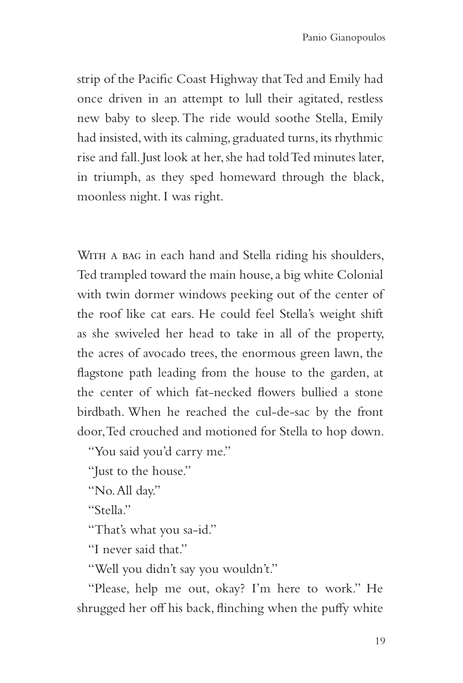strip of the Pacific Coast Highway that Ted and Emily had once driven in an attempt to lull their agitated, restless new baby to sleep. The ride would soothe Stella, Emily had insisted, with its calming, graduated turns, its rhythmic rise and fall. Just look at her, she had told Ted minutes later, in triumph, as they sped homeward through the black, moonless night. I was right.

WITH A BAG in each hand and Stella riding his shoulders, Ted trampled toward the main house, a big white Colonial with twin dormer windows peeking out of the center of the roof like cat ears. He could feel Stella's weight shift as she swiveled her head to take in all of the property, the acres of avocado trees, the enormous green lawn, the flagstone path leading from the house to the garden, at the center of which fat-necked flowers bullied a stone birdbath. When he reached the cul-de-sac by the front door, Ted crouched and motioned for Stella to hop down.

"You said you'd carry me."

"Just to the house."

"No. All day."

"Stella."

"That's what you sa-id."

"I never said that."

"Well you didn't say you wouldn't."

"Please, help me out, okay? I'm here to work." He shrugged her off his back, flinching when the puffy white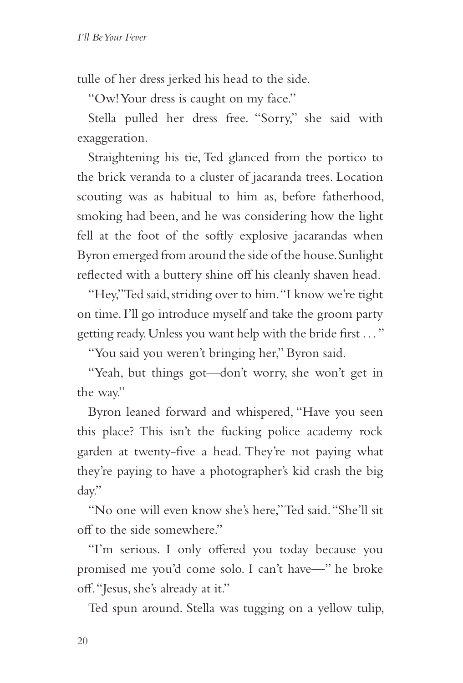tulle of her dress jerked his head to the side.

"Ow! Your dress is caught on my face."

Stella pulled her dress free. "Sorry," she said with exaggeration.

Straightening his tie, Ted glanced from the portico to the brick veranda to a cluster of jacaranda trees. Location scouting was as habitual to him as, before fatherhood, smoking had been, and he was considering how the light fell at the foot of the softly explosive jacarandas when Byron emerged from around the side of the house. Sunlight reflected with a buttery shine off his cleanly shaven head.

"Hey," Ted said, striding over to him. "I know we're tight on time. I'll go introduce myself and take the groom party getting ready. Unless you want help with the bride first . . . "

"You said you weren't bringing her," Byron said.

"Yeah, but things got—don't worry, she won't get in the way."

Byron leaned forward and whispered, "Have you seen this place? This isn't the fucking police academy rock garden at twenty-five a head. They're not paying what they're paying to have a photographer's kid crash the big day."

"No one will even know she's here," Ted said. "She'll sit off to the side somewhere."

"I'm serious. I only offered you today because you promised me you'd come solo. I can't have—" he broke off. "Jesus, she's already at it."

Ted spun around. Stella was tugging on a yellow tulip,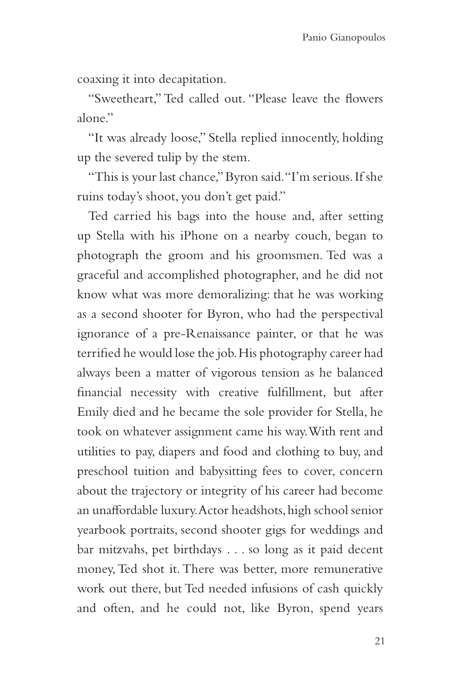coaxing it into decapitation.

"Sweetheart," Ted called out. "Please leave the flowers alone"

"It was already loose," Stella replied innocently, holding up the severed tulip by the stem.

"This is your last chance," Byron said. "I'm serious. If she ruins today's shoot, you don't get paid."

Ted carried his bags into the house and, after setting up Stella with his iPhone on a nearby couch, began to photograph the groom and his groomsmen. Ted was a graceful and accomplished photographer, and he did not know what was more demoralizing: that he was working as a second shooter for Byron, who had the perspectival ignorance of a pre-Renaissance painter, or that he was terrified he would lose the job. His photography career had always been a matter of vigorous tension as he balanced financial necessity with creative fulfillment, but after Emily died and he became the sole provider for Stella, he took on whatever assignment came his way. With rent and utilities to pay, diapers and food and clothing to buy, and preschool tuition and babysitting fees to cover, concern about the trajectory or integrity of his career had become an unaffordable luxury. Actor headshots, high school senior yearbook portraits, second shooter gigs for weddings and bar mitzvahs, pet birthdays . . . so long as it paid decent money, Ted shot it. There was better, more remunerative work out there, but Ted needed infusions of cash quickly and often, and he could not, like Byron, spend years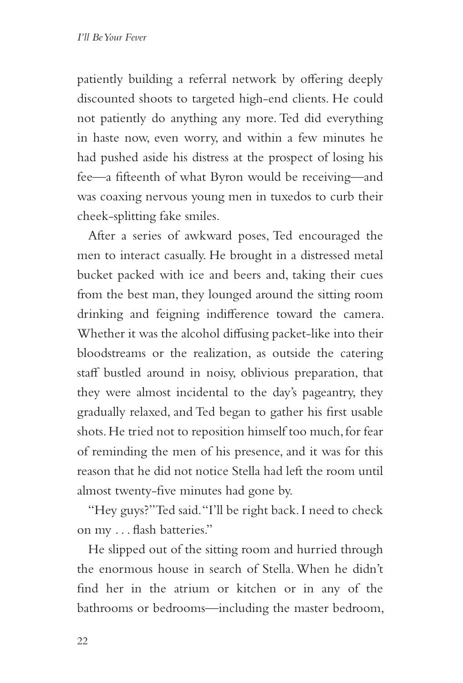patiently building a referral network by offering deeply discounted shoots to targeted high-end clients. He could not patiently do anything any more. Ted did everything in haste now, even worry, and within a few minutes he had pushed aside his distress at the prospect of losing his fee—a fifteenth of what Byron would be receiving—and was coaxing nervous young men in tuxedos to curb their cheek-splitting fake smiles.

After a series of awkward poses, Ted encouraged the men to interact casually. He brought in a distressed metal bucket packed with ice and beers and, taking their cues from the best man, they lounged around the sitting room drinking and feigning indifference toward the camera. Whether it was the alcohol diffusing packet-like into their bloodstreams or the realization, as outside the catering staff bustled around in noisy, oblivious preparation, that they were almost incidental to the day's pageantry, they gradually relaxed, and Ted began to gather his first usable shots. He tried not to reposition himself too much, for fear of reminding the men of his presence, and it was for this reason that he did not notice Stella had left the room until almost twenty-five minutes had gone by.

"Hey guys?" Ted said. "I'll be right back. I need to check on my . . . flash batteries."

He slipped out of the sitting room and hurried through the enormous house in search of Stella. When he didn't find her in the atrium or kitchen or in any of the bathrooms or bedrooms—including the master bedroom,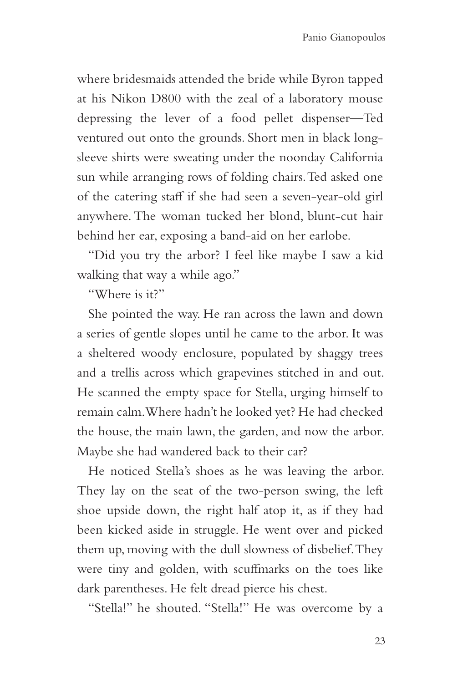where bridesmaids attended the bride while Byron tapped at his Nikon D800 with the zeal of a laboratory mouse depressing the lever of a food pellet dispenser—Ted ventured out onto the grounds. Short men in black longsleeve shirts were sweating under the noonday California sun while arranging rows of folding chairs. Ted asked one of the catering staff if she had seen a seven-year-old girl anywhere. The woman tucked her blond, blunt-cut hair behind her ear, exposing a band-aid on her earlobe.

"Did you try the arbor? I feel like maybe I saw a kid walking that way a while ago."

"Where is it?"

She pointed the way. He ran across the lawn and down a series of gentle slopes until he came to the arbor. It was a sheltered woody enclosure, populated by shaggy trees and a trellis across which grapevines stitched in and out. He scanned the empty space for Stella, urging himself to remain calm. Where hadn't he looked yet? He had checked the house, the main lawn, the garden, and now the arbor. Maybe she had wandered back to their car?

He noticed Stella's shoes as he was leaving the arbor. They lay on the seat of the two-person swing, the left shoe upside down, the right half atop it, as if they had been kicked aside in struggle. He went over and picked them up, moving with the dull slowness of disbelief. They were tiny and golden, with scuffmarks on the toes like dark parentheses. He felt dread pierce his chest.

"Stella!" he shouted. "Stella!" He was overcome by a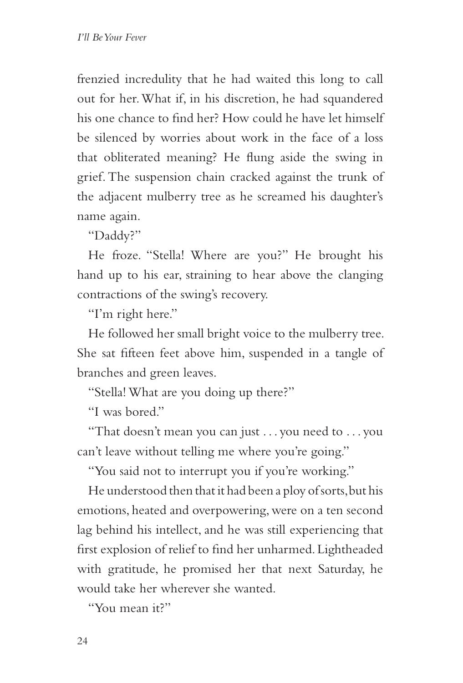frenzied incredulity that he had waited this long to call out for her. What if, in his discretion, he had squandered his one chance to find her? How could he have let himself be silenced by worries about work in the face of a loss that obliterated meaning? He flung aside the swing in grief. The suspension chain cracked against the trunk of the adjacent mulberry tree as he screamed his daughter's name again.

"Daddy?"

He froze. "Stella! Where are you?" He brought his hand up to his ear, straining to hear above the clanging contractions of the swing's recovery.

"I'm right here."

He followed her small bright voice to the mulberry tree. She sat fifteen feet above him, suspended in a tangle of branches and green leaves.

"Stella! What are you doing up there?"

"I was bored."

"That doesn't mean you can just . . . you need to . . . you can't leave without telling me where you're going."

"You said not to interrupt you if you're working."

He understood then that it had been a ploy of sorts, but his emotions, heated and overpowering, were on a ten second lag behind his intellect, and he was still experiencing that first explosion of relief to find her unharmed. Lightheaded with gratitude, he promised her that next Saturday, he would take her wherever she wanted.

"You mean it?"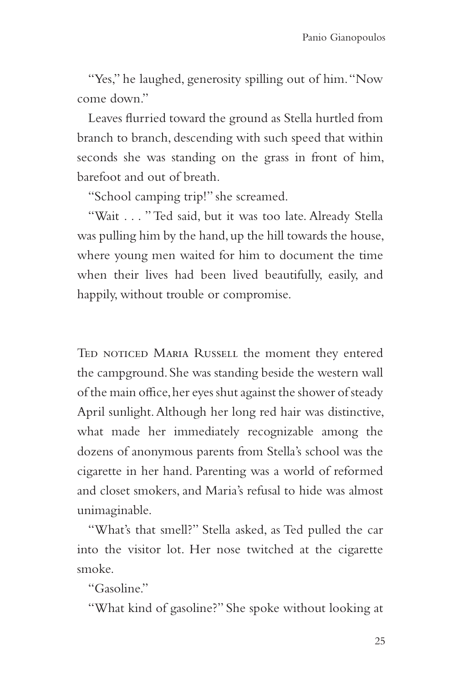"Yes," he laughed, generosity spilling out of him. "Now come down"

Leaves flurried toward the ground as Stella hurtled from branch to branch, descending with such speed that within seconds she was standing on the grass in front of him, barefoot and out of breath.

"School camping trip!" she screamed.

"Wait . . . " Ted said, but it was too late. Already Stella was pulling him by the hand, up the hill towards the house, where young men waited for him to document the time when their lives had been lived beautifully, easily, and happily, without trouble or compromise.

TED NOTICED MARIA RUSSELL the moment they entered the campground. She was standing beside the western wall of the main office, her eyes shut against the shower of steady April sunlight. Although her long red hair was distinctive, what made her immediately recognizable among the dozens of anonymous parents from Stella's school was the cigarette in her hand. Parenting was a world of reformed and closet smokers, and Maria's refusal to hide was almost unimaginable.

"What's that smell?" Stella asked, as Ted pulled the car into the visitor lot. Her nose twitched at the cigarette smoke.

"Gasoline."

"What kind of gasoline?" She spoke without looking at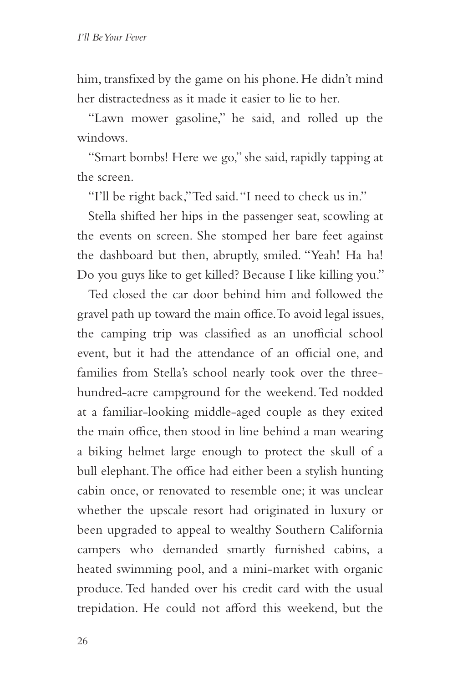him, transfixed by the game on his phone. He didn't mind her distractedness as it made it easier to lie to her.

"Lawn mower gasoline," he said, and rolled up the windows.

"Smart bombs! Here we go," she said, rapidly tapping at the screen.

"I'll be right back," Ted said. "I need to check us in."

Stella shifted her hips in the passenger seat, scowling at the events on screen. She stomped her bare feet against the dashboard but then, abruptly, smiled. "Yeah! Ha ha! Do you guys like to get killed? Because I like killing you."

Ted closed the car door behind him and followed the gravel path up toward the main office. To avoid legal issues, the camping trip was classified as an unofficial school event, but it had the attendance of an official one, and families from Stella's school nearly took over the threehundred-acre campground for the weekend. Ted nodded at a familiar-looking middle-aged couple as they exited the main office, then stood in line behind a man wearing a biking helmet large enough to protect the skull of a bull elephant. The office had either been a stylish hunting cabin once, or renovated to resemble one; it was unclear whether the upscale resort had originated in luxury or been upgraded to appeal to wealthy Southern California campers who demanded smartly furnished cabins, a heated swimming pool, and a mini-market with organic produce. Ted handed over his credit card with the usual trepidation. He could not afford this weekend, but the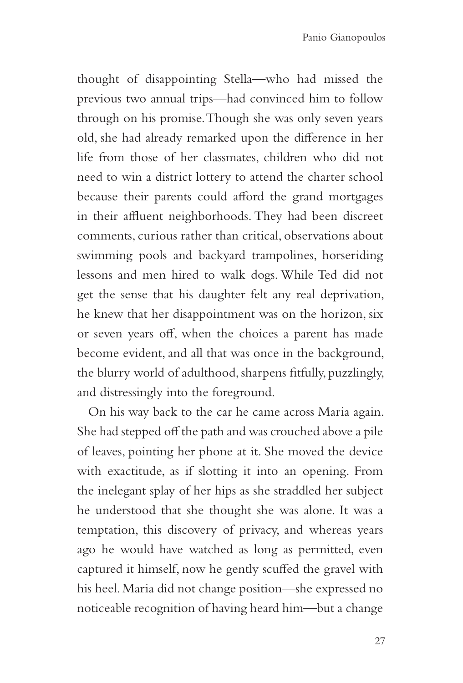thought of disappointing Stella—who had missed the previous two annual trips—had convinced him to follow through on his promise. Though she was only seven years old, she had already remarked upon the difference in her life from those of her classmates, children who did not need to win a district lottery to attend the charter school because their parents could afford the grand mortgages in their affluent neighborhoods. They had been discreet comments, curious rather than critical, observations about swimming pools and backyard trampolines, horseriding lessons and men hired to walk dogs. While Ted did not get the sense that his daughter felt any real deprivation, he knew that her disappointment was on the horizon, six or seven years off, when the choices a parent has made become evident, and all that was once in the background, the blurry world of adulthood, sharpens fitfully, puzzlingly, and distressingly into the foreground.

On his way back to the car he came across Maria again. She had stepped off the path and was crouched above a pile of leaves, pointing her phone at it. She moved the device with exactitude, as if slotting it into an opening. From the inelegant splay of her hips as she straddled her subject he understood that she thought she was alone. It was a temptation, this discovery of privacy, and whereas years ago he would have watched as long as permitted, even captured it himself, now he gently scuffed the gravel with his heel. Maria did not change position—she expressed no noticeable recognition of having heard him—but a change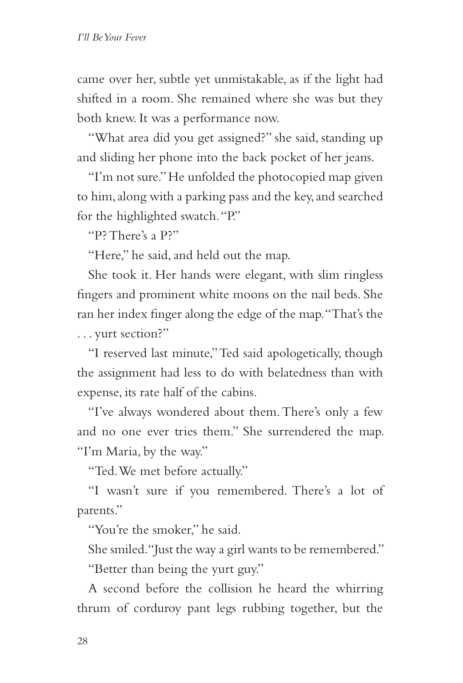came over her, subtle yet unmistakable, as if the light had shifted in a room. She remained where she was but they both knew. It was a performance now.

"What area did you get assigned?" she said, standing up and sliding her phone into the back pocket of her jeans.

"I'm not sure." He unfolded the photocopied map given to him, along with a parking pass and the key, and searched for the highlighted swatch. "P."

"P? There's a P?"

"Here," he said, and held out the map.

She took it. Her hands were elegant, with slim ringless fingers and prominent white moons on the nail beds. She ran her index finger along the edge of the map. "That's the . . . yurt section?"

"I reserved last minute," Ted said apologetically, though the assignment had less to do with belatedness than with expense, its rate half of the cabins.

"I've always wondered about them. There's only a few and no one ever tries them." She surrendered the map. "I'm Maria, by the way."

"Ted. We met before actually."

"I wasn't sure if you remembered. There's a lot of parents."

"You're the smoker," he said.

She smiled. "Just the way a girl wants to be remembered."

"Better than being the yurt guy."

A second before the collision he heard the whirring thrum of corduroy pant legs rubbing together, but the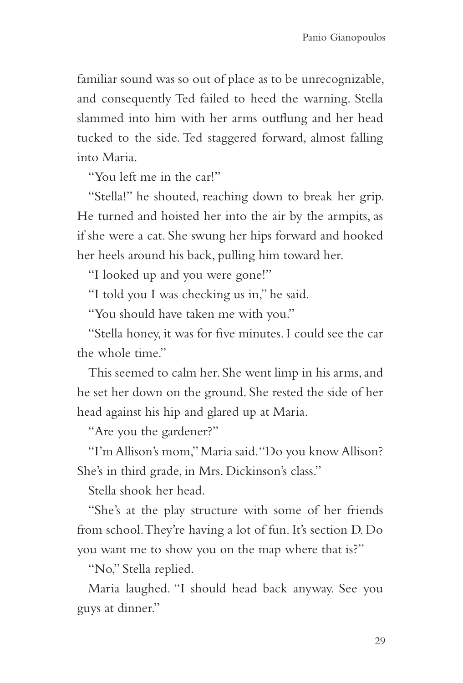familiar sound was so out of place as to be unrecognizable, and consequently Ted failed to heed the warning. Stella slammed into him with her arms outflung and her head tucked to the side. Ted staggered forward, almost falling into Maria.

"You left me in the car!"

"Stella!" he shouted, reaching down to break her grip. He turned and hoisted her into the air by the armpits, as if she were a cat. She swung her hips forward and hooked her heels around his back, pulling him toward her.

"I looked up and you were gone!"

"I told you I was checking us in," he said.

"You should have taken me with you."

"Stella honey, it was for five minutes. I could see the car the whole time"

This seemed to calm her. She went limp in his arms, and he set her down on the ground. She rested the side of her head against his hip and glared up at Maria.

"Are you the gardener?"

"I'm Allison's mom," Maria said. "Do you know Allison? She's in third grade, in Mrs. Dickinson's class."

Stella shook her head.

"She's at the play structure with some of her friends from school. They're having a lot of fun. It's section D. Do you want me to show you on the map where that is?"

"No," Stella replied.

Maria laughed. "I should head back anyway. See you guys at dinner."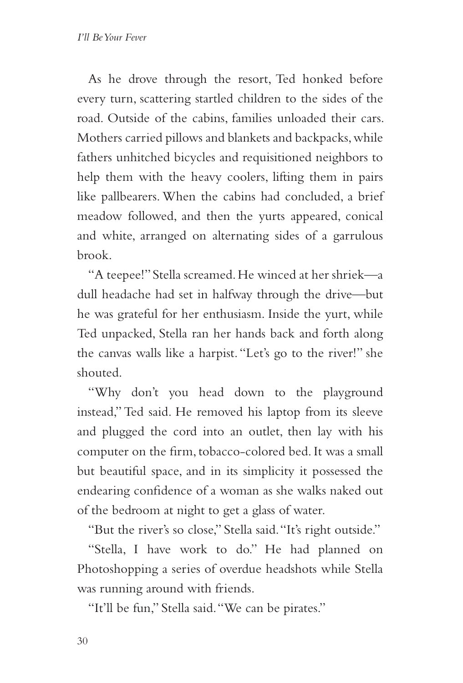As he drove through the resort, Ted honked before every turn, scattering startled children to the sides of the road. Outside of the cabins, families unloaded their cars. Mothers carried pillows and blankets and backpacks, while fathers unhitched bicycles and requisitioned neighbors to help them with the heavy coolers, lifting them in pairs like pallbearers. When the cabins had concluded, a brief meadow followed, and then the yurts appeared, conical and white, arranged on alternating sides of a garrulous brook.

"A teepee!" Stella screamed. He winced at her shriek—a dull headache had set in halfway through the drive—but he was grateful for her enthusiasm. Inside the yurt, while Ted unpacked, Stella ran her hands back and forth along the canvas walls like a harpist. "Let's go to the river!" she shouted.

"Why don't you head down to the playground instead," Ted said. He removed his laptop from its sleeve and plugged the cord into an outlet, then lay with his computer on the firm, tobacco-colored bed. It was a small but beautiful space, and in its simplicity it possessed the endearing confidence of a woman as she walks naked out of the bedroom at night to get a glass of water.

"But the river's so close," Stella said. "It's right outside."

"Stella, I have work to do." He had planned on Photoshopping a series of overdue headshots while Stella was running around with friends.

"It'll be fun," Stella said. "We can be pirates."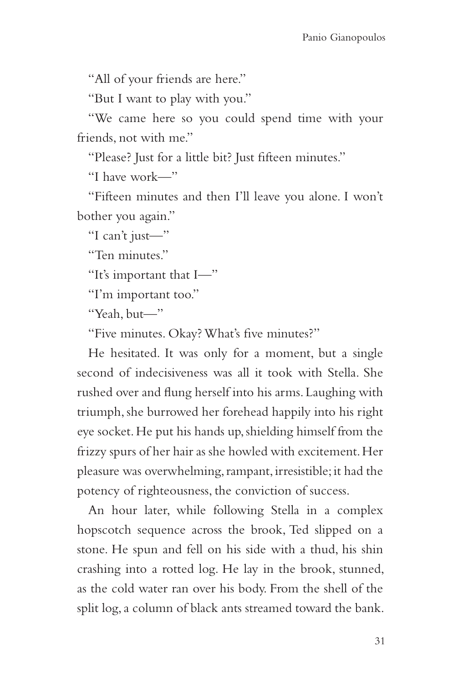"All of your friends are here."

"But I want to play with you."

"We came here so you could spend time with your friends, not with me."

"Please? Just for a little bit? Just fifteen minutes."

"I have work—"

"Fifteen minutes and then I'll leave you alone. I won't bother you again."

"I can't just—"

"Ten minutes."

"It's important that I—"

"I'm important too."

"Yeah, but—"

"Five minutes. Okay? What's five minutes?"

He hesitated. It was only for a moment, but a single second of indecisiveness was all it took with Stella. She rushed over and flung herself into his arms. Laughing with triumph, she burrowed her forehead happily into his right eye socket. He put his hands up, shielding himself from the frizzy spurs of her hair as she howled with excitement. Her pleasure was overwhelming, rampant, irresistible; it had the potency of righteousness, the conviction of success.

An hour later, while following Stella in a complex hopscotch sequence across the brook, Ted slipped on a stone. He spun and fell on his side with a thud, his shin crashing into a rotted log. He lay in the brook, stunned, as the cold water ran over his body. From the shell of the split log, a column of black ants streamed toward the bank.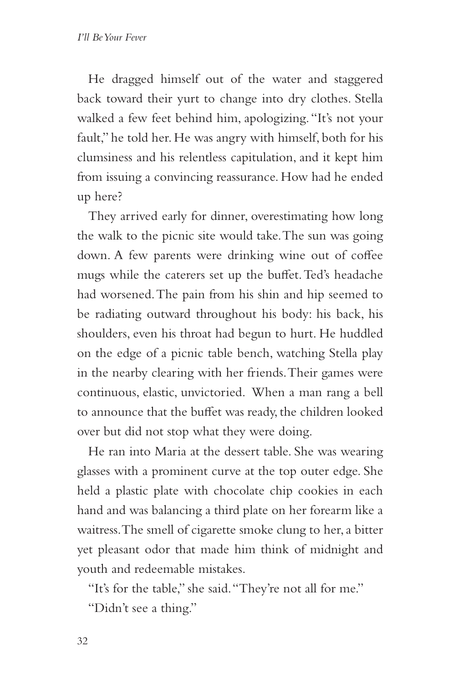He dragged himself out of the water and staggered back toward their yurt to change into dry clothes. Stella walked a few feet behind him, apologizing. "It's not your fault," he told her. He was angry with himself, both for his clumsiness and his relentless capitulation, and it kept him from issuing a convincing reassurance. How had he ended up here?

They arrived early for dinner, overestimating how long the walk to the picnic site would take. The sun was going down. A few parents were drinking wine out of coffee mugs while the caterers set up the buffet. Ted's headache had worsened. The pain from his shin and hip seemed to be radiating outward throughout his body: his back, his shoulders, even his throat had begun to hurt. He huddled on the edge of a picnic table bench, watching Stella play in the nearby clearing with her friends. Their games were continuous, elastic, unvictoried. When a man rang a bell to announce that the buffet was ready, the children looked over but did not stop what they were doing.

He ran into Maria at the dessert table. She was wearing glasses with a prominent curve at the top outer edge. She held a plastic plate with chocolate chip cookies in each hand and was balancing a third plate on her forearm like a waitress. The smell of cigarette smoke clung to her, a bitter yet pleasant odor that made him think of midnight and youth and redeemable mistakes.

"It's for the table," she said. "They're not all for me." "Didn't see a thing."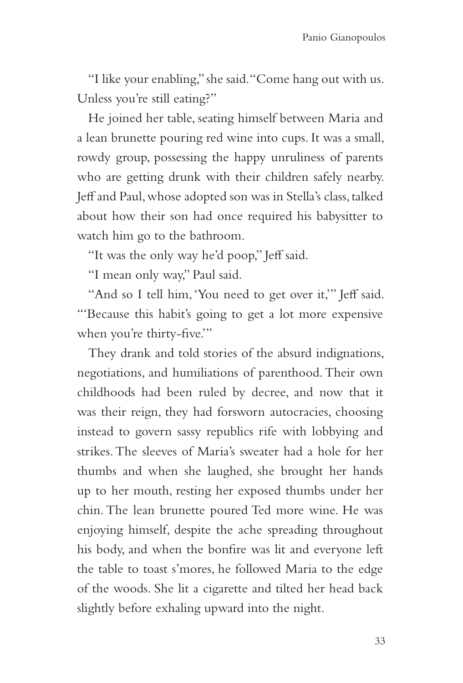"I like your enabling," she said. "Come hang out with us. Unless you're still eating?"

He joined her table, seating himself between Maria and a lean brunette pouring red wine into cups. It was a small, rowdy group, possessing the happy unruliness of parents who are getting drunk with their children safely nearby. Jeff and Paul, whose adopted son was in Stella's class, talked about how their son had once required his babysitter to watch him go to the bathroom.

"It was the only way he'd poop," Jeff said.

"I mean only way," Paul said.

"And so I tell him, 'You need to get over it,'" Jeff said. "'Because this habit's going to get a lot more expensive when you're thirty-five.'"

They drank and told stories of the absurd indignations, negotiations, and humiliations of parenthood. Their own childhoods had been ruled by decree, and now that it was their reign, they had forsworn autocracies, choosing instead to govern sassy republics rife with lobbying and strikes. The sleeves of Maria's sweater had a hole for her thumbs and when she laughed, she brought her hands up to her mouth, resting her exposed thumbs under her chin. The lean brunette poured Ted more wine. He was enjoying himself, despite the ache spreading throughout his body, and when the bonfire was lit and everyone left the table to toast s'mores, he followed Maria to the edge of the woods. She lit a cigarette and tilted her head back slightly before exhaling upward into the night.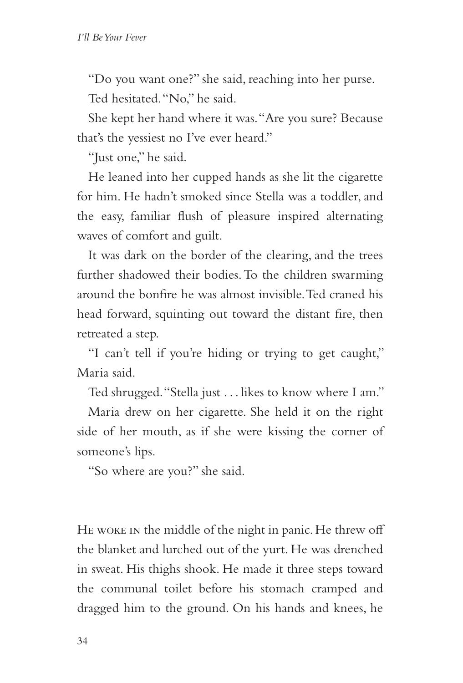"Do you want one?" she said, reaching into her purse. Ted hesitated. "No," he said.

She kept her hand where it was. "Are you sure? Because that's the yessiest no I've ever heard."

"Just one," he said.

He leaned into her cupped hands as she lit the cigarette for him. He hadn't smoked since Stella was a toddler, and the easy, familiar flush of pleasure inspired alternating waves of comfort and guilt.

It was dark on the border of the clearing, and the trees further shadowed their bodies. To the children swarming around the bonfire he was almost invisible. Ted craned his head forward, squinting out toward the distant fire, then retreated a step.

"I can't tell if you're hiding or trying to get caught," Maria said.

Ted shrugged. "Stella just . . . likes to know where I am."

Maria drew on her cigarette. She held it on the right side of her mouth, as if she were kissing the corner of someone's lips.

"So where are you?" she said.

HE WOKE IN the middle of the night in panic. He threw off the blanket and lurched out of the yurt. He was drenched in sweat. His thighs shook. He made it three steps toward the communal toilet before his stomach cramped and dragged him to the ground. On his hands and knees, he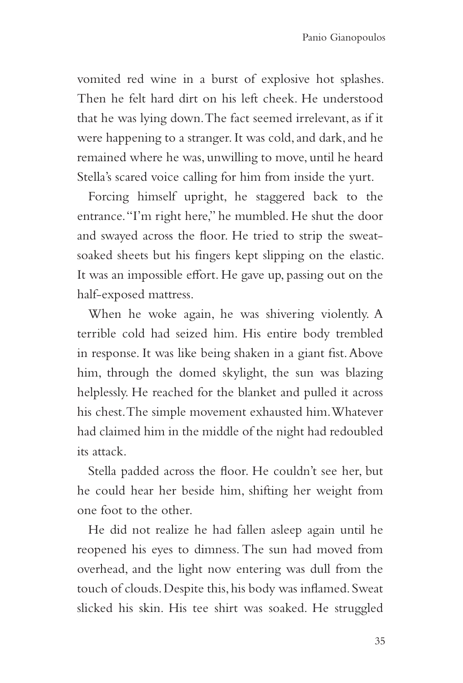vomited red wine in a burst of explosive hot splashes. Then he felt hard dirt on his left cheek. He understood that he was lying down. The fact seemed irrelevant, as if it were happening to a stranger. It was cold, and dark, and he remained where he was, unwilling to move, until he heard Stella's scared voice calling for him from inside the yurt.

Forcing himself upright, he staggered back to the entrance. "I'm right here," he mumbled. He shut the door and swayed across the floor. He tried to strip the sweatsoaked sheets but his fingers kept slipping on the elastic. It was an impossible effort. He gave up, passing out on the half-exposed mattress.

When he woke again, he was shivering violently. A terrible cold had seized him. His entire body trembled in response. It was like being shaken in a giant fist. Above him, through the domed skylight, the sun was blazing helplessly. He reached for the blanket and pulled it across his chest. The simple movement exhausted him. Whatever had claimed him in the middle of the night had redoubled its attack.

Stella padded across the floor. He couldn't see her, but he could hear her beside him, shifting her weight from one foot to the other.

He did not realize he had fallen asleep again until he reopened his eyes to dimness. The sun had moved from overhead, and the light now entering was dull from the touch of clouds. Despite this, his body was inflamed. Sweat slicked his skin. His tee shirt was soaked. He struggled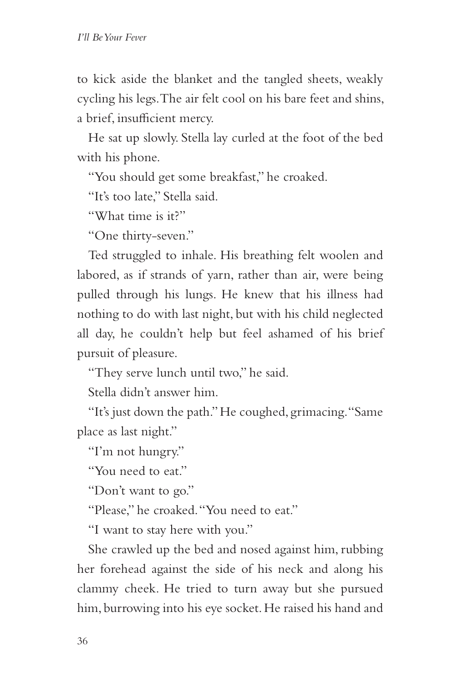to kick aside the blanket and the tangled sheets, weakly cycling his legs. The air felt cool on his bare feet and shins, a brief, insufficient mercy.

He sat up slowly. Stella lay curled at the foot of the bed with his phone.

"You should get some breakfast," he croaked.

"It's too late," Stella said.

"What time is it?"

"One thirty-seven."

Ted struggled to inhale. His breathing felt woolen and labored, as if strands of yarn, rather than air, were being pulled through his lungs. He knew that his illness had nothing to do with last night, but with his child neglected all day, he couldn't help but feel ashamed of his brief pursuit of pleasure.

"They serve lunch until two," he said.

Stella didn't answer him.

"It's just down the path." He coughed, grimacing. "Same place as last night."

"I'm not hungry."

"You need to eat."

"Don't want to go."

"Please," he croaked. "You need to eat."

"I want to stay here with you."

She crawled up the bed and nosed against him, rubbing her forehead against the side of his neck and along his clammy cheek. He tried to turn away but she pursued him, burrowing into his eye socket. He raised his hand and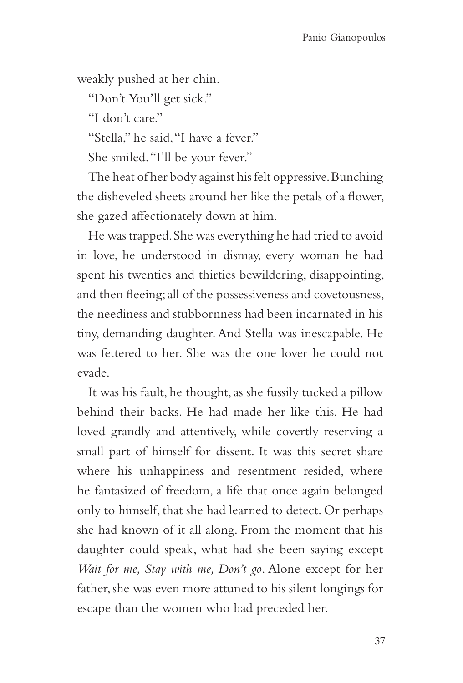weakly pushed at her chin.

"Don't. You'll get sick."

"I don't care"

"Stella," he said, "I have a fever."

She smiled. "I'll be your fever."

The heat of her body against his felt oppressive. Bunching the disheveled sheets around her like the petals of a flower, she gazed affectionately down at him.

He was trapped. She was everything he had tried to avoid in love, he understood in dismay, every woman he had spent his twenties and thirties bewildering, disappointing, and then fleeing; all of the possessiveness and covetousness, the neediness and stubbornness had been incarnated in his tiny, demanding daughter. And Stella was inescapable. He was fettered to her. She was the one lover he could not evade.

It was his fault, he thought, as she fussily tucked a pillow behind their backs. He had made her like this. He had loved grandly and attentively, while covertly reserving a small part of himself for dissent. It was this secret share where his unhappiness and resentment resided, where he fantasized of freedom, a life that once again belonged only to himself, that she had learned to detect. Or perhaps she had known of it all along. From the moment that his daughter could speak, what had she been saying except *Wait for me, Stay with me, Don't go*. Alone except for her father, she was even more attuned to his silent longings for escape than the women who had preceded her.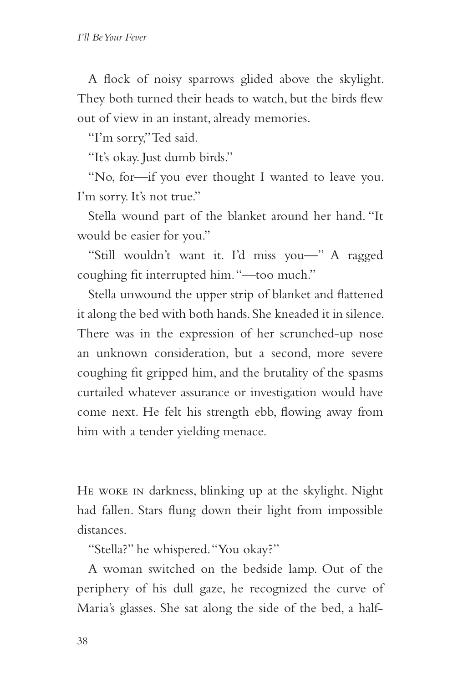A flock of noisy sparrows glided above the skylight. They both turned their heads to watch, but the birds flew out of view in an instant, already memories.

"I'm sorry," Ted said.

"It's okay. Just dumb birds."

"No, for—if you ever thought I wanted to leave you. I'm sorry. It's not true."

Stella wound part of the blanket around her hand. "It would be easier for you."

"Still wouldn't want it. I'd miss you—" A ragged coughing fit interrupted him. "—too much."

Stella unwound the upper strip of blanket and flattened it along the bed with both hands. She kneaded it in silence. There was in the expression of her scrunched-up nose an unknown consideration, but a second, more severe coughing fit gripped him, and the brutality of the spasms curtailed whatever assurance or investigation would have come next. He felt his strength ebb, flowing away from him with a tender yielding menace.

He woke in darkness, blinking up at the skylight. Night had fallen. Stars flung down their light from impossible distances.

"Stella?" he whispered. "You okay?"

A woman switched on the bedside lamp. Out of the periphery of his dull gaze, he recognized the curve of Maria's glasses. She sat along the side of the bed, a half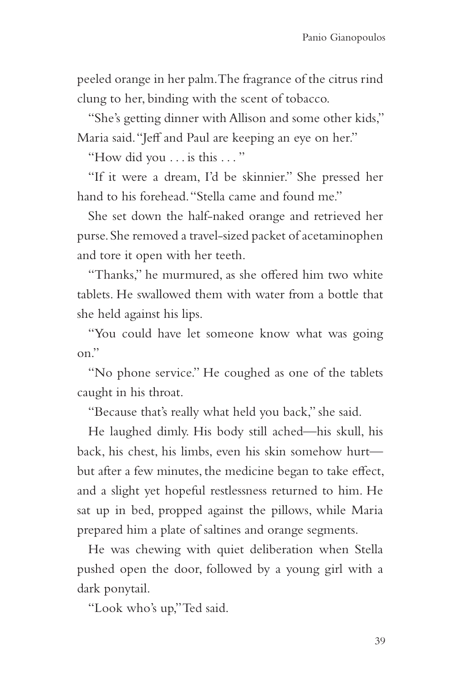peeled orange in her palm. The fragrance of the citrus rind clung to her, binding with the scent of tobacco.

"She's getting dinner with Allison and some other kids," Maria said. "Jeff and Paul are keeping an eye on her."

"How did you . . . is this . . . "

"If it were a dream, I'd be skinnier." She pressed her hand to his forehead. "Stella came and found me."

She set down the half-naked orange and retrieved her purse. She removed a travel-sized packet of acetaminophen and tore it open with her teeth.

"Thanks," he murmured, as she offered him two white tablets. He swallowed them with water from a bottle that she held against his lips.

"You could have let someone know what was going on."

"No phone service." He coughed as one of the tablets caught in his throat.

"Because that's really what held you back," she said.

He laughed dimly. His body still ached—his skull, his back, his chest, his limbs, even his skin somehow hurt but after a few minutes, the medicine began to take effect, and a slight yet hopeful restlessness returned to him. He sat up in bed, propped against the pillows, while Maria prepared him a plate of saltines and orange segments.

He was chewing with quiet deliberation when Stella pushed open the door, followed by a young girl with a dark ponytail.

"Look who's up," Ted said.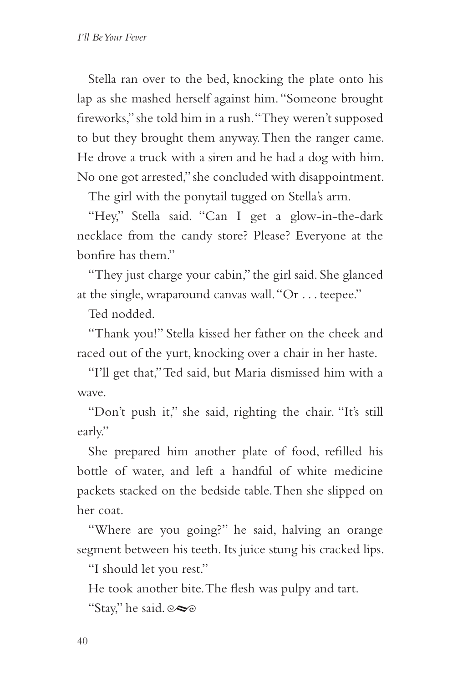Stella ran over to the bed, knocking the plate onto his lap as she mashed herself against him. "Someone brought fireworks," she told him in a rush. "They weren't supposed to but they brought them anyway. Then the ranger came. He drove a truck with a siren and he had a dog with him. No one got arrested," she concluded with disappointment.

The girl with the ponytail tugged on Stella's arm.

"Hey," Stella said. "Can I get a glow-in-the-dark necklace from the candy store? Please? Everyone at the bonfire has them."

"They just charge your cabin," the girl said. She glanced at the single, wraparound canvas wall. "Or . . . teepee."

Ted nodded.

"Thank you!" Stella kissed her father on the cheek and raced out of the yurt, knocking over a chair in her haste.

"I'll get that," Ted said, but Maria dismissed him with a wave.

"Don't push it," she said, righting the chair. "It's still early."

She prepared him another plate of food, refilled his bottle of water, and left a handful of white medicine packets stacked on the bedside table. Then she slipped on her coat.

"Where are you going?" he said, halving an orange segment between his teeth. Its juice stung his cracked lips.

"I should let you rest."

He took another bite. The flesh was pulpy and tart.

"Stay," he said.  $\infty$